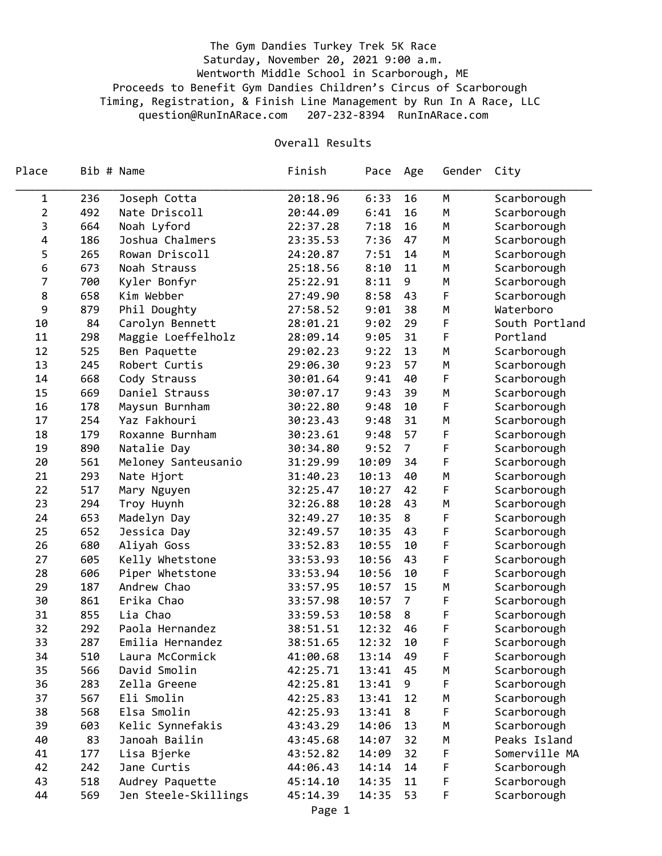## The Gym Dandies Turkey Trek 5K Race Saturday, November 20, 2021 9:00 a.m. Wentworth Middle School in Scarborough, ME Proceeds to Benefit Gym Dandies Children's Circus of Scarborough Timing, Registration, & Finish Line Management by Run In A Race, LLC question@RunInARace.com 207-232-8394 RunInARace.com

## Overall Results

| Place          | Bib # Name |                      | Finish   | Pace  | Age            | Gender | City           |
|----------------|------------|----------------------|----------|-------|----------------|--------|----------------|
| 1              | 236        | Joseph Cotta         | 20:18.96 | 6:33  | 16             | M      | Scarborough    |
| 2              | 492        | Nate Driscoll        | 20:44.09 | 6:41  | 16             | M      | Scarborough    |
| 3              | 664        | Noah Lyford          | 22:37.28 | 7:18  | 16             | M      | Scarborough    |
| 4              | 186        | Joshua Chalmers      | 23:35.53 | 7:36  | 47             | M      | Scarborough    |
| 5              | 265        | Rowan Driscoll       | 24:20.87 | 7:51  | 14             | M      | Scarborough    |
| 6              | 673        | Noah Strauss         | 25:18.56 | 8:10  | 11             | M      | Scarborough    |
| $\overline{7}$ | 700        | Kyler Bonfyr         | 25:22.91 | 8:11  | 9              | M      | Scarborough    |
| 8              | 658        | Kim Webber           | 27:49.90 | 8:58  | 43             | F      | Scarborough    |
| 9              | 879        | Phil Doughty         | 27:58.52 | 9:01  | 38             | М      | Waterboro      |
| 10             | 84         | Carolyn Bennett      | 28:01.21 | 9:02  | 29             | F      | South Portland |
| 11             | 298        | Maggie Loeffelholz   | 28:09.14 | 9:05  | 31             | F      | Portland       |
| 12             | 525        | Ben Paquette         | 29:02.23 | 9:22  | 13             | M      | Scarborough    |
| 13             | 245        | Robert Curtis        | 29:06.30 | 9:23  | 57             | M      | Scarborough    |
| 14             | 668        | Cody Strauss         | 30:01.64 | 9:41  | 40             | F      | Scarborough    |
| 15             | 669        | Daniel Strauss       | 30:07.17 | 9:43  | 39             | M      | Scarborough    |
| 16             | 178        | Maysun Burnham       | 30:22.80 | 9:48  | 10             | F      | Scarborough    |
| 17             | 254        | Yaz Fakhouri         | 30:23.43 | 9:48  | 31             | M      | Scarborough    |
| 18             | 179        | Roxanne Burnham      | 30:23.61 | 9:48  | 57             | F      | Scarborough    |
| 19             | 890        | Natalie Day          | 30:34.80 | 9:52  | 7 <sup>7</sup> | F      | Scarborough    |
| 20             | 561        | Meloney Santeusanio  | 31:29.99 | 10:09 | 34             | F      | Scarborough    |
| 21             | 293        | Nate Hjort           | 31:40.23 | 10:13 | 40             | M      | Scarborough    |
| 22             | 517        | Mary Nguyen          | 32:25.47 | 10:27 | 42             | F      | Scarborough    |
| 23             | 294        | Troy Huynh           | 32:26.88 | 10:28 | 43             | М      | Scarborough    |
| 24             | 653        | Madelyn Day          | 32:49.27 | 10:35 | 8              | F      | Scarborough    |
| 25             | 652        | Jessica Day          | 32:49.57 | 10:35 | 43             | F      | Scarborough    |
| 26             | 680        | Aliyah Goss          | 33:52.83 | 10:55 | 10             | F      | Scarborough    |
| 27             | 605        | Kelly Whetstone      | 33:53.93 | 10:56 | 43             | F      | Scarborough    |
| 28             | 606        | Piper Whetstone      | 33:53.94 | 10:56 | 10             | F      | Scarborough    |
| 29             | 187        | Andrew Chao          | 33:57.95 | 10:57 | 15             | M      | Scarborough    |
| 30             | 861        | Erika Chao           | 33:57.98 | 10:57 | $\overline{7}$ | F      | Scarborough    |
| 31             | 855        | Lia Chao             | 33:59.53 | 10:58 | 8              | F      | Scarborough    |
| 32             | 292        | Paola Hernandez      | 38:51.51 | 12:32 | 46             | F      | Scarborough    |
| 33             | 287        | Emilia Hernandez     | 38:51.65 | 12:32 | 10             | F      | Scarborough    |
| 34             | 510        | Laura McCormick      | 41:00.68 | 13:14 | 49             | F      | Scarborough    |
| 35             | 566        | David Smolin         | 42:25.71 | 13:41 | 45             | M      | Scarborough    |
| 36             | 283        | Zella Greene         | 42:25.81 | 13:41 | 9              | F      | Scarborough    |
| 37             | 567        | Eli Smolin           | 42:25.83 | 13:41 | 12             | М      | Scarborough    |
| 38             | 568        | Elsa Smolin          | 42:25.93 | 13:41 | 8              | F      | Scarborough    |
| 39             | 603        | Kelic Synnefakis     | 43:43.29 | 14:06 | 13             | M      | Scarborough    |
| 40             | 83         | Janoah Bailin        | 43:45.68 | 14:07 | 32             | M      | Peaks Island   |
| 41             | 177        | Lisa Bjerke          | 43:52.82 | 14:09 | 32             | F      | Somerville MA  |
| 42             | 242        | Jane Curtis          | 44:06.43 | 14:14 | 14             | F      | Scarborough    |
| 43             | 518        | Audrey Paquette      | 45:14.10 | 14:35 | 11             | F      | Scarborough    |
| 44             | 569        | Jen Steele-Skillings | 45:14.39 | 14:35 | 53             | F      | Scarborough    |